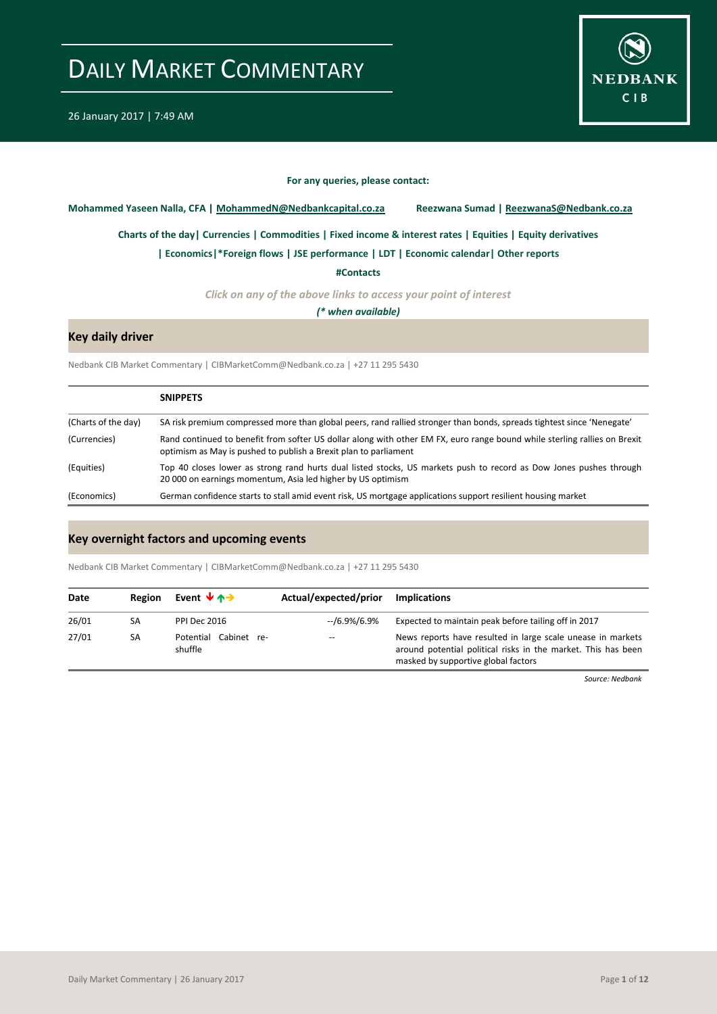

#### **For any queries, please contact:**

<span id="page-0-0"></span>**Mohammed Yaseen Nalla, CFA | MohammedN@Nedbankcapital.co.za Reezwana Sumad | ReezwanaS@Nedbank.co.za**

**[Charts of the day|](#page-1-0) [Currencies](#page-2-0) [| Commodities](#page-3-0) | [Fixed income & interest rates](#page-4-0) [| Equities](#page-5-0) | Equity derivatives**

**[| Economics|](#page-6-0)\*Foreign flows | [JSE performance](#page-7-0) [| LDT](#page-8-0) [| Economic calendar|](#page-8-0) Other reports** 

**[#Contacts](#page-10-0)**

*Click on any of the above links to access your point of interest*

*(\* when available)*

### **Key daily driver**

Nedbank CIB Market Commentary | CIBMarketComm@Nedbank.co.za | +27 11 295 5430

|                     | <b>SNIPPETS</b>                                                                                                                                                                               |
|---------------------|-----------------------------------------------------------------------------------------------------------------------------------------------------------------------------------------------|
| (Charts of the day) | SA risk premium compressed more than global peers, rand rallied stronger than bonds, spreads tightest since 'Nenegate'                                                                        |
| (Currencies)        | Rand continued to benefit from softer US dollar along with other EM FX, euro range bound while sterling rallies on Brexit<br>optimism as May is pushed to publish a Brexit plan to parliament |
| (Equities)          | Top 40 closes lower as strong rand hurts dual listed stocks, US markets push to record as Dow Jones pushes through<br>20 000 on earnings momentum, Asia led higher by US optimism             |
| (Economics)         | German confidence starts to stall amid event risk, US mortgage applications support resilient housing market                                                                                  |

#### **Key overnight factors and upcoming events**

Nedbank CIB Market Commentary | CIBMarketComm@Nedbank.co.za | +27 11 295 5430

| Date  | Region | Event $\forall$ $\land \rightarrow$ | Actual/expected/prior | <b>Implications</b>                                                                                                                                                 |
|-------|--------|-------------------------------------|-----------------------|---------------------------------------------------------------------------------------------------------------------------------------------------------------------|
| 26/01 | SA     | PPI Dec 2016                        | --/6.9%/6.9%          | Expected to maintain peak before tailing off in 2017                                                                                                                |
| 27/01 | SA     | Potential Cabinet re-<br>shuffle    | $-$                   | News reports have resulted in large scale unease in markets<br>around potential political risks in the market. This has been<br>masked by supportive global factors |

*Source: Nedbank*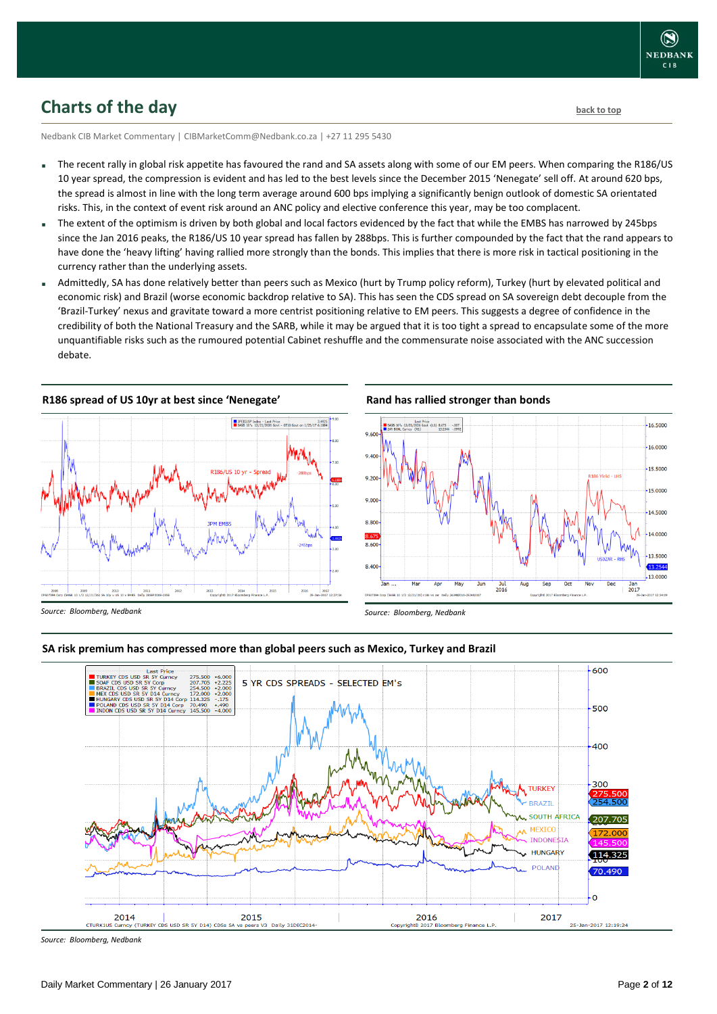### <span id="page-1-0"></span>**Charts of the day** [back to top](#page-0-0) back to top

Nedbank CIB Market Commentary | CIBMarketComm@Nedbank.co.za | +27 11 295 5430

- The recent rally in global risk appetite has favoured the rand and SA assets along with some of our EM peers. When comparing the R186/US 10 year spread, the compression is evident and has led to the best levels since the December 2015 'Nenegate' sell off. At around 620 bps, the spread is almost in line with the long term average around 600 bps implying a significantly benign outlook of domestic SA orientated risks. This, in the context of event risk around an ANC policy and elective conference this year, may be too complacent.
- The extent of the optimism is driven by both global and local factors evidenced by the fact that while the EMBS has narrowed by 245bps since the Jan 2016 peaks, the R186/US 10 year spread has fallen by 288bps. This is further compounded by the fact that the rand appears to have done the 'heavy lifting' having rallied more strongly than the bonds. This implies that there is more risk in tactical positioning in the currency rather than the underlying assets.
- Admittedly, SA has done relatively better than peers such as Mexico (hurt by Trump policy reform), Turkey (hurt by elevated political and economic risk) and Brazil (worse economic backdrop relative to SA). This has seen the CDS spread on SA sovereign debt decouple from the 'Brazil-Turkey' nexus and gravitate toward a more centrist positioning relative to EM peers. This suggests a degree of confidence in the credibility of both the National Treasury and the SARB, while it may be argued that it is too tight a spread to encapsulate some of the more unquantifiable risks such as the rumoured potential Cabinet reshuffle and the commensurate noise associated with the ANC succession debate.





#### **Rand has rallied stronger than bonds**



*Source: Bloomberg, Nedbank*

#### **SA risk premium has compressed more than global peers such as Mexico, Turkey and Brazil**



*Source: Bloomberg, Nedbank*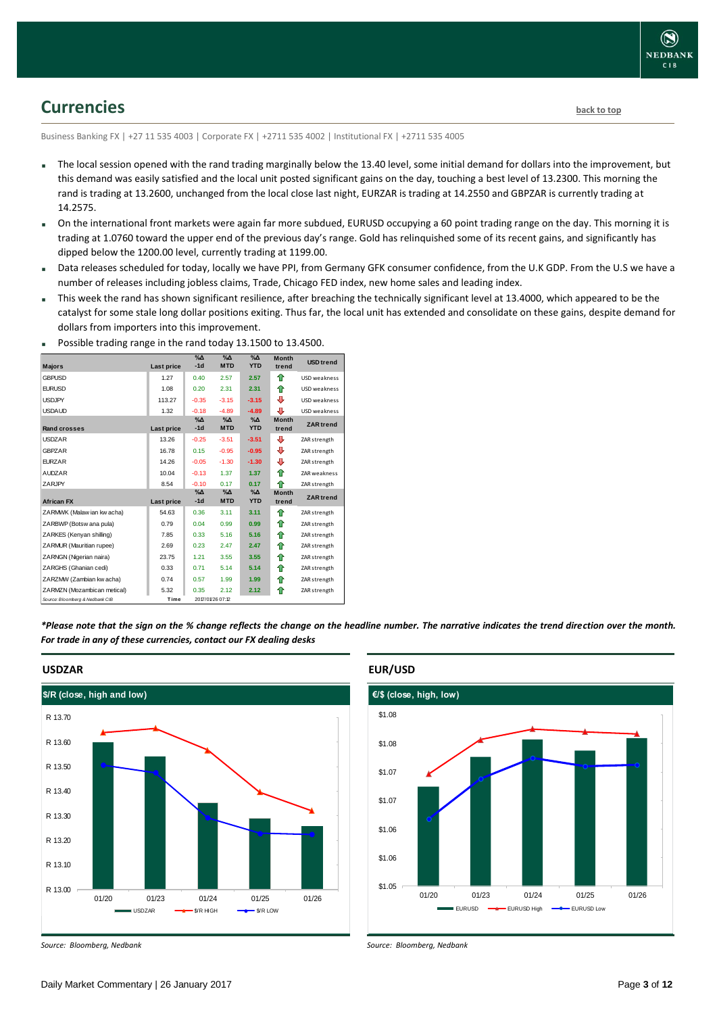

### <span id="page-2-0"></span>**Currencies [back to top](#page-0-0)**

Business Banking FX | +27 11 535 4003 | Corporate FX | +2711 535 4002 | Institutional FX | +2711 535 4005

- The local session opened with the rand trading marginally below the 13.40 level, some initial demand for dollars into the improvement, but this demand was easily satisfied and the local unit posted significant gains on the day, touching a best level of 13.2300. This morning the rand is trading at 13.2600, unchanged from the local close last night, EURZAR is trading at 14.2550 and GBPZAR is currently trading at 14.2575.
- On the international front markets were again far more subdued, EURUSD occupying a 60 point trading range on the day. This morning it is trading at 1.0760 toward the upper end of the previous day's range. Gold has relinquished some of its recent gains, and significantly has dipped below the 1200.00 level, currently trading at 1199.00.
- Data releases scheduled for today, locally we have PPI, from Germany GFK consumer confidence, from the U.K GDP. From the U.S we have a number of releases including jobless claims, Trade, Chicago FED index, new home sales and leading index.
- This week the rand has shown significant resilience, after breaching the technically significant level at 13.4000, which appeared to be the catalyst for some stale long dollar positions exiting. Thus far, the local unit has extended and consolidate on these gains, despite demand for dollars from importers into this improvement.

| $\frac{1}{2}$ . Sociology and the second control to stay the second second second second second second second second second second second second second second second second second second second second second second second sec |            |                        |                             | $-0.2000000$                |                       |                  |
|-----------------------------------------------------------------------------------------------------------------------------------------------------------------------------------------------------------------------------------|------------|------------------------|-----------------------------|-----------------------------|-----------------------|------------------|
| <b>Majors</b>                                                                                                                                                                                                                     | Last price | $\%$ $\Delta$<br>$-1d$ | $\%$ $\Delta$<br><b>MTD</b> | $\%$ $\Delta$<br><b>YTD</b> | <b>Month</b><br>trend | <b>USD</b> trend |
| <b>GBPUSD</b>                                                                                                                                                                                                                     | 1.27       | 0.40                   | 2.57                        | 2.57                        | ⇑                     | USD weakness     |
| <b>EURUSD</b>                                                                                                                                                                                                                     | 1.08       | 0.20                   | 2.31                        | 2.31                        | ⇑                     | USD weakness     |
| <b>USDJPY</b>                                                                                                                                                                                                                     | 113.27     | $-0.35$                | $-3.15$                     | $-3.15$                     | ⊕                     | USD weakness     |
| <b>USDA UD</b>                                                                                                                                                                                                                    | 1.32       | $-0.18$                | $-4.89$                     | $-4.89$                     | ⊕                     | USD weakness     |
| <b>Rand crosses</b>                                                                                                                                                                                                               | Last price | $\%$ $\Delta$<br>$-1d$ | $\%$ $\Delta$<br><b>MTD</b> | $\%$ $\Delta$<br><b>YTD</b> | <b>Month</b><br>trend | <b>ZAR</b> trend |
| <b>USDZAR</b>                                                                                                                                                                                                                     | 13.26      | $-0.25$                | $-3.51$                     | $-3.51$                     | ⊕                     | ZAR strength     |
| <b>GBPZAR</b>                                                                                                                                                                                                                     | 16.78      | 0.15                   | $-0.95$                     | $-0.95$                     | ⊕                     | ZAR strength     |
| <b>EURZAR</b>                                                                                                                                                                                                                     | 14.26      | $-0.05$                | $-1.30$                     | $-1.30$                     | ⊕                     | ZAR strength     |
| <b>AUDZAR</b>                                                                                                                                                                                                                     | 10.04      | $-0.13$                | 1.37                        | 1.37                        | ♠                     | ZAR weakness     |
| <b>ZARJPY</b>                                                                                                                                                                                                                     | 8.54       | $-0.10$                | 0.17                        | 0.17                        | ♠                     | ZAR strength     |
| <b>African FX</b>                                                                                                                                                                                                                 | Last price | $\%$ $\Delta$<br>$-1d$ | $\%$ $\Delta$<br><b>MTD</b> | $\%$ $\Delta$<br><b>YTD</b> | <b>Month</b><br>trend | <b>ZAR</b> trend |
| ZARMWK (Malaw ian kw acha)                                                                                                                                                                                                        | 54.63      | 0.36                   | 3.11                        | 3.11                        | ♠                     | ZAR strength     |
| ZARBWP (Botsw ana pula)                                                                                                                                                                                                           | 0.79       | 0.04                   | 0.99                        | 0.99                        | ⇑                     | ZAR strength     |
| ZARKES (Kenyan shilling)                                                                                                                                                                                                          | 7.85       | 0.33                   | 5.16                        | 5.16                        | ⇑                     | ZAR strength     |
| ZARMUR (Mauritian rupee)                                                                                                                                                                                                          | 2.69       | 0.23                   | 2.47                        | 2.47                        | ♠                     | ZAR strength     |
| ZARNGN (Nigerian naira)                                                                                                                                                                                                           | 23.75      | 1.21                   | 3.55                        | 3.55                        | ⇑                     | ZAR strength     |
| ZARGHS (Ghanian cedi)                                                                                                                                                                                                             | 0.33       | 0.71                   | 5.14                        | 5.14                        | ⇑                     | ZAR strength     |
| ZARZMW (Zambian kw acha)                                                                                                                                                                                                          | 0.74       | 0.57                   | 1.99                        | 1.99                        | ⇑                     | ZAR strength     |
| ZARMZN (Mozambican metical)                                                                                                                                                                                                       | 5.32       | 0.35                   | 2.12                        | 2.12                        | ⇑                     | ZAR strength     |
| Source: Bloomberg & Nedbank CIB                                                                                                                                                                                                   | Time       |                        | 2017/01/26 07:12            |                             |                       |                  |

Possible trading range in the rand today 13.1500 to 13.4500.

*\*Please note that the sign on the % change reflects the change on the headline number. The narrative indicates the trend direction over the month. For trade in any of these currencies, contact our FX dealing desks*



**USDZAR**

*Source: Bloomberg, Nedbank*

# **EUR/USD**



*Source: Bloomberg, Nedbank*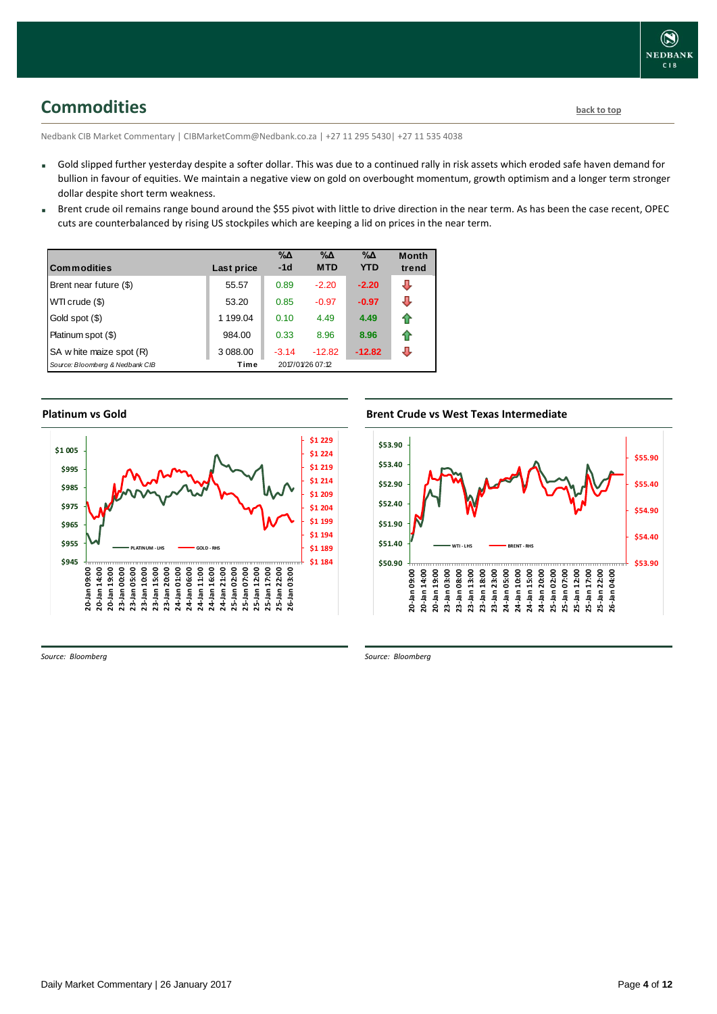<span id="page-3-0"></span>**Commodities [back to top](#page-0-0)** 

Nedbank CIB Market Commentary | CIBMarketComm@Nedbank.co.za | +27 11 295 5430| +27 11 535 4038

- Gold slipped further yesterday despite a softer dollar. This was due to a continued rally in risk assets which eroded safe haven demand for bullion in favour of equities. We maintain a negative view on gold on overbought momentum, growth optimism and a longer term stronger dollar despite short term weakness.
- Brent crude oil remains range bound around the \$55 pivot with little to drive direction in the near term. As has been the case recent, OPEC cuts are counterbalanced by rising US stockpiles which are keeping a lid on prices in the near term.

| <b>Commodities</b>              | Last price | $\% \Delta$<br>$-1d$ | %Δ<br><b>MTD</b> | %Δ<br><b>YTD</b> | <b>Month</b><br>trend |
|---------------------------------|------------|----------------------|------------------|------------------|-----------------------|
| Brent near future (\$)          | 55.57      | 0.89                 | $-2.20$          | $-2.20$          | ⊕                     |
| WTI crude (\$)                  | 53.20      | 0.85                 | $-0.97$          | $-0.97$          | л                     |
| Gold spot (\$)                  | 1 199.04   | 0.10                 | 4.49             | 4.49             | 11                    |
| Platinum spot (\$)              | 984.00     | 0.33                 | 8.96             | 8.96             | ⇑                     |
| SA w hite maize spot (R)        | 3 088.00   | $-3.14$              | $-12.82$         | $-12.82$         | л                     |
| Source: Bloomberg & Nedbank CIB | Time       |                      | 2017/01/26 07:12 |                  |                       |

### **Platinum vs Gold Platinum vs. Gold**



**Brent Crude vs West Texas Intermediate Brent Crude vs West Texas Intermediate** 



*Source: Bloomberg*

*Source: Bloomberg*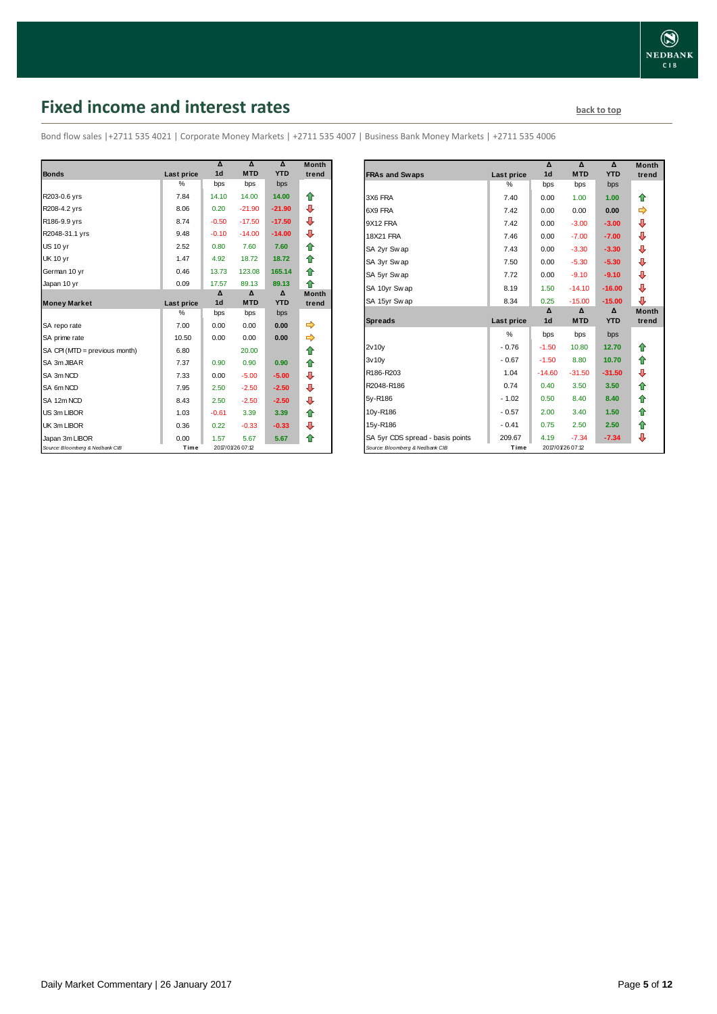# <span id="page-4-0"></span>**Fixed income and interest rates back to the line of the set of the set of the set of the set of the set of the set of the set of the set of the set of the set of the set of the set of the set of the set of the set of th**

Bond flow sales |+2711 535 4021 | Corporate Money Markets | +2711 535 4007 | Business Bank Money Markets | +2711 535 4006

|                                 |                   | Δ<br>1 <sub>d</sub> | Δ<br><b>MTD</b>  | Δ<br><b>YTD</b> | <b>Month</b> |
|---------------------------------|-------------------|---------------------|------------------|-----------------|--------------|
| <b>Bonds</b>                    | <b>Last price</b> |                     |                  |                 | trend        |
|                                 | $\frac{0}{2}$     | bps                 | bps              | bps             |              |
| R203-0.6 yrs                    | 7.84              | 14.10               | 14.00            | 14.00           | ⇑            |
| R208-4.2 yrs                    | 8.06              | 0.20                | $-21.90$         | $-21.90$        | ₽            |
| R186-9.9 yrs                    | 8.74              | $-0.50$             | $-17.50$         | $-17.50$        | ⊕            |
| R2048-31.1 yrs                  | 9.48              | $-0.10$             | $-14.00$         | $-14.00$        | ⇩            |
| <b>US 10 yr</b>                 | 2.52              | 0.80                | 7.60             | 7.60            | ⇑            |
| <b>UK 10 yr</b>                 | 1.47              | 4.92                | 18.72            | 18.72           | ⇑            |
| German 10 yr                    | 0.46              | 13.73               | 123.08           | 165.14          | ♠            |
| Japan 10 yr                     | 0.09              | 17.57               | 89.13            | 89.13           | ⇑            |
|                                 |                   | Δ                   | Δ                | Δ               | <b>Month</b> |
| <b>Money Market</b>             | <b>Last price</b> | 1 <sub>d</sub>      | <b>MTD</b>       | <b>YTD</b>      | trend        |
|                                 | $\frac{0}{2}$     | bps                 | bps              | bps             |              |
| SA repo rate                    | 7.00              | 0.00                | 0.00             | 0.00            | ⇨            |
| SA prime rate                   | 10.50             | 0.00                | 0.00             | 0.00            | ⇛            |
| SA CPI (MTD = previous month)   | 6.80              |                     | 20.00            |                 | ⇑            |
| SA 3m JIBAR                     | 7.37              | 0.90                | 0.90             | 0.90            | ⇑            |
| SA 3m NCD                       | 7.33              | 0.00                | $-5.00$          | $-5.00$         | ⊕            |
| SA 6m NCD                       | 7.95              | 2.50                | $-2.50$          | $-2.50$         | ⇩            |
| SA 12m NCD                      | 8.43              | 2.50                | $-2.50$          | $-2.50$         | ₽            |
| US 3m LIBOR                     | 1.03              | $-0.61$             | 3.39             | 3.39            | ⇑            |
| UK 3m LIBOR                     | 0.36              | 0.22                | $-0.33$          | $-0.33$         | ⊕            |
| Japan 3m LIBOR                  | 0.00              | 1.57                | 5.67             | 5.67            | ⇑            |
| Source: Bloomberg & Nedbank CIB | Time              |                     | 2017/01/26 07:12 |                 |              |

|                                  |            | Δ              | Δ          | Δ          | <b>Month</b> |
|----------------------------------|------------|----------------|------------|------------|--------------|
| <b>FRAs and Swaps</b>            | Last price | 1 <sub>d</sub> | <b>MTD</b> | <b>YTD</b> | trend        |
|                                  | $\%$       | bps            | bps        | bps        |              |
| 3X6 FRA                          | 7.40       | 0.00           | 1.00       | 1.00       | ⇑            |
| 6X9 FRA                          | 7.42       | 0.00           | 0.00       | 0.00       | ⇛            |
| 9X12 FRA                         | 7.42       | 0.00           | $-3.00$    | $-3.00$    | ⊕            |
| <b>18X21 FRA</b>                 | 7.46       | 0.00           | $-7.00$    | $-7.00$    | ⊕            |
| SA 2yr Swap                      | 7.43       | 0.00           | $-3.30$    | $-3.30$    | ⊕            |
| SA 3yr Swap                      | 7.50       | 0.00           | $-5.30$    | $-5.30$    | ⊕            |
| SA 5yr Swap                      | 7.72       | 0.00           | $-9.10$    | $-9.10$    | ⊕            |
| SA 10yr Swap                     | 8.19       | 1.50           | $-14.10$   | $-16.00$   | ⊕            |
| SA 15yr Swap                     | 8.34       | 0.25           | $-15.00$   | $-15.00$   | ⊕            |
|                                  |            | Δ              | Δ          | Δ          | <b>Month</b> |
| <b>Spreads</b>                   | Last price | 1 <sub>d</sub> | <b>MTD</b> | <b>YTD</b> | trend        |
|                                  | %          | bps            | bps        | bps        |              |
| 2v10v                            | $-0.76$    | $-1.50$        | 10.80      | 12.70      | ⇑            |
| 3v10v                            | $-0.67$    | $-1.50$        | 8.80       | 10.70      | ✿            |
| R186-R203                        | 1.04       | $-14.60$       | $-31.50$   | $-31.50$   | ⊕            |
| R2048-R186                       | 0.74       | 0.40           | 3.50       | 3.50       | 合            |
| 5y-R186                          | $-1.02$    | 0.50           | 8.40       | 8.40       | 合            |
|                                  |            |                | 3.40       | 1.50       | 合            |
| 10y-R186                         | $-0.57$    | 2.00           |            |            |              |
| 15y-R186                         | $-0.41$    | 0.75           | 2.50       | 2.50       | ✿            |
| SA 5yr CDS spread - basis points | 209.67     | 4.19           | $-7.34$    | $-7.34$    | ⊕            |

Daily Market Commentary | 26 January 2017 Page **5** of **12**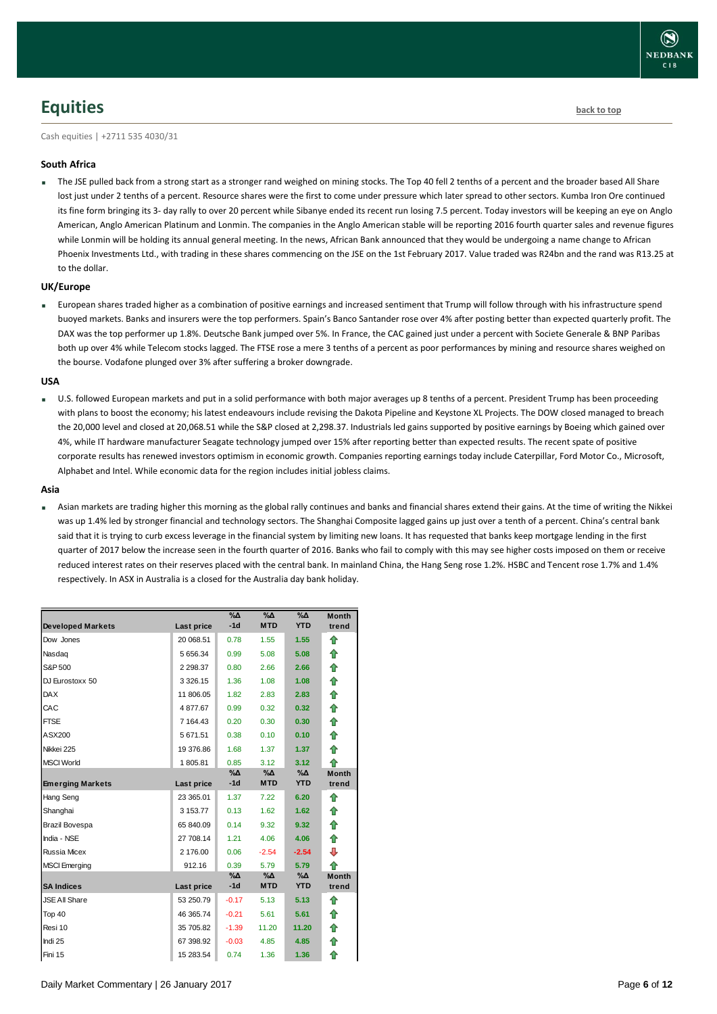

### <span id="page-5-0"></span>**Equities [back to top](#page-0-0)**

Cash equities | +2711 535 4030/31

#### **South Africa**

The JSE pulled back from a strong start as a stronger rand weighed on mining stocks. The Top 40 fell 2 tenths of a percent and the broader based All Share lost just under 2 tenths of a percent. Resource shares were the first to come under pressure which later spread to other sectors. Kumba Iron Ore continued its fine form bringing its 3- day rally to over 20 percent while Sibanye ended its recent run losing 7.5 percent. Today investors will be keeping an eye on Anglo American, Anglo American Platinum and Lonmin. The companies in the Anglo American stable will be reporting 2016 fourth quarter sales and revenue figures while Lonmin will be holding its annual general meeting. In the news, African Bank announced that they would be undergoing a name change to African Phoenix Investments Ltd., with trading in these shares commencing on the JSE on the 1st February 2017. Value traded was R24bn and the rand was R13.25 at to the dollar.

#### **UK/Europe**

 European shares traded higher as a combination of positive earnings and increased sentiment that Trump will follow through with his infrastructure spend buoyed markets. Banks and insurers were the top performers. Spain's Banco Santander rose over 4% after posting better than expected quarterly profit. The DAX was the top performer up 1.8%. Deutsche Bank jumped over 5%. In France, the CAC gained just under a percent with Societe Generale & BNP Paribas both up over 4% while Telecom stocks lagged. The FTSE rose a mere 3 tenths of a percent as poor performances by mining and resource shares weighed on the bourse. Vodafone plunged over 3% after suffering a broker downgrade.

#### **USA**

U.S. followed European markets and put in a solid performance with both major averages up 8 tenths of a percent. President Trump has been proceeding with plans to boost the economy; his latest endeavours include revising the Dakota Pipeline and Keystone XL Projects. The DOW closed managed to breach the 20,000 level and closed at 20,068.51 while the S&P closed at 2,298.37. Industrials led gains supported by positive earnings by Boeing which gained over 4%, while IT hardware manufacturer Seagate technology jumped over 15% after reporting better than expected results. The recent spate of positive corporate results has renewed investors optimism in economic growth. Companies reporting earnings today include Caterpillar, Ford Motor Co., Microsoft, Alphabet and Intel. While economic data for the region includes initial jobless claims.

#### **Asia**

 Asian markets are trading higher this morning as the global rally continues and banks and financial shares extend their gains. At the time of writing the Nikkei was up 1.4% led by stronger financial and technology sectors. The Shanghai Composite lagged gains up just over a tenth of a percent. China's central bank said that it is trying to curb excess leverage in the financial system by limiting new loans. It has requested that banks keep mortgage lending in the first quarter of 2017 below the increase seen in the fourth quarter of 2016. Banks who fail to comply with this may see higher costs imposed on them or receive reduced interest rates on their reserves placed with the central bank. In mainland China, the Hang Seng rose 1.2%. HSBC and Tencent rose 1.7% and 1.4% respectively. In ASX in Australia is a closed for the Australia day bank holiday.

|                          |            | $\%$ $\Delta$ | %Δ         | $\sqrt[6]{\Delta}$ | <b>Month</b> |
|--------------------------|------------|---------------|------------|--------------------|--------------|
| <b>Developed Markets</b> | Last price | $-1d$         | <b>MTD</b> | <b>YTD</b>         | trend        |
| Dow Jones                | 20 068.51  | 0.78          | 1.55       | 1.55               | ⇑            |
| Nasdag                   | 5 656.34   | 0.99          | 5.08       | 5.08               | ⇑            |
| S&P 500                  | 2 2 9 8.37 | 0.80          | 2.66       | 2.66               | ⇮            |
| DJ Eurostoxx 50          | 3 3 26.15  | 1.36          | 1.08       | 1.08               | ⇑            |
| <b>DAX</b>               | 11 806.05  | 1.82          | 2.83       | 2.83               | 合            |
| CAC                      | 4877.67    | 0.99          | 0.32       | 0.32               | ⇑            |
| <b>FTSE</b>              | 7 164.43   | 0.20          | 0.30       | 0.30               | 合            |
| ASX200                   | 5 671.51   | 0.38          | 0.10       | 0.10               | 合            |
| Nikkei 225               | 19 376.86  | 1.68          | 1.37       | 1.37               | ♠            |
| <b>MSCI World</b>        | 1805.81    | 0.85          | 3.12       | 3.12               | ♠            |
|                          |            | %Δ            | %∆         | %Δ                 | <b>Month</b> |
| <b>Emerging Markets</b>  | Last price | $-1d$         | <b>MTD</b> | <b>YTD</b>         | trend        |
| Hang Seng                | 23 365.01  | 1.37          | 7.22       | 6.20               | ⇑            |
| Shanghai                 | 3 153.77   | 0.13          | 1.62       | 1.62               | ⇑            |
| Brazil Bovespa           | 65 840.09  | 0.14          | 9.32       | 9.32               | 合            |
| India - NSE              | 27 708.14  | 1.21          | 4.06       | 4.06               | ↟            |
| <b>Russia Micex</b>      | 2 176.00   | 0.06          | $-2.54$    | $-2.54$            | ⇩            |
| <b>MSCI</b> Emerging     | 912.16     | 0.39          | 5.79       | 5.79               | ⇑            |
|                          |            | %Δ            | %Δ         | %Д                 | <b>Month</b> |
| <b>SA Indices</b>        | Last price | $-1d$         | <b>MTD</b> | <b>YTD</b>         | trend        |
| <b>JSE All Share</b>     | 53 250.79  | $-0.17$       | 5.13       | 5.13               | ⇑            |
| Top 40                   | 46 365.74  | $-0.21$       | 5.61       | 5.61               | ⇑            |
| Resi 10                  | 35 705.82  | $-1.39$       | 11.20      | 11.20              | 合            |
| Indi 25                  | 67 398.92  | $-0.03$       | 4.85       | 4.85               | ⇮            |
| Fini 15                  | 15 283.54  | 0.74          | 1.36       | 1.36               | ⇮            |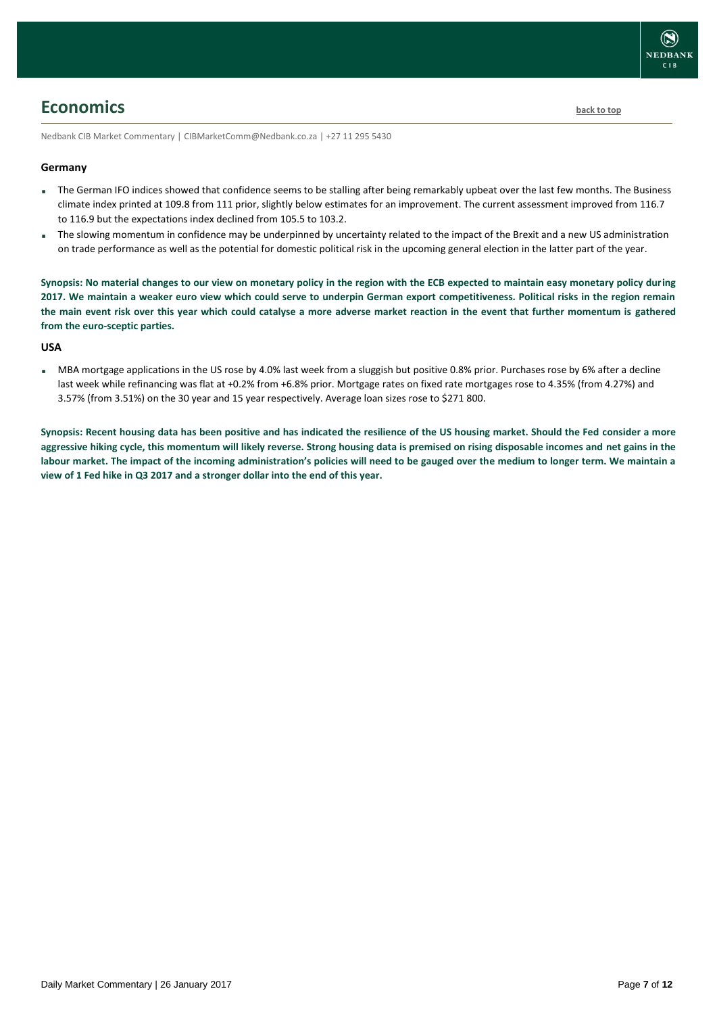

### <span id="page-6-0"></span>**Economics [back to top](#page-0-0)**

Nedbank CIB Market Commentary | CIBMarketComm@Nedbank.co.za | +27 11 295 5430

#### **Germany**

- The German IFO indices showed that confidence seems to be stalling after being remarkably upbeat over the last few months. The Business climate index printed at 109.8 from 111 prior, slightly below estimates for an improvement. The current assessment improved from 116.7 to 116.9 but the expectations index declined from 105.5 to 103.2.
- The slowing momentum in confidence may be underpinned by uncertainty related to the impact of the Brexit and a new US administration on trade performance as well as the potential for domestic political risk in the upcoming general election in the latter part of the year.

**Synopsis: No material changes to our view on monetary policy in the region with the ECB expected to maintain easy monetary policy during 2017. We maintain a weaker euro view which could serve to underpin German export competitiveness. Political risks in the region remain the main event risk over this year which could catalyse a more adverse market reaction in the event that further momentum is gathered from the euro-sceptic parties.**

#### **USA**

MBA mortgage applications in the US rose by 4.0% last week from a sluggish but positive 0.8% prior. Purchases rose by 6% after a decline last week while refinancing was flat at +0.2% from +6.8% prior. Mortgage rates on fixed rate mortgages rose to 4.35% (from 4.27%) and 3.57% (from 3.51%) on the 30 year and 15 year respectively. Average loan sizes rose to \$271 800.

**Synopsis: Recent housing data has been positive and has indicated the resilience of the US housing market. Should the Fed consider a more aggressive hiking cycle, this momentum will likely reverse. Strong housing data is premised on rising disposable incomes and net gains in the labour market. The impact of the incoming administration's policies will need to be gauged over the medium to longer term. We maintain a view of 1 Fed hike in Q3 2017 and a stronger dollar into the end of this year.**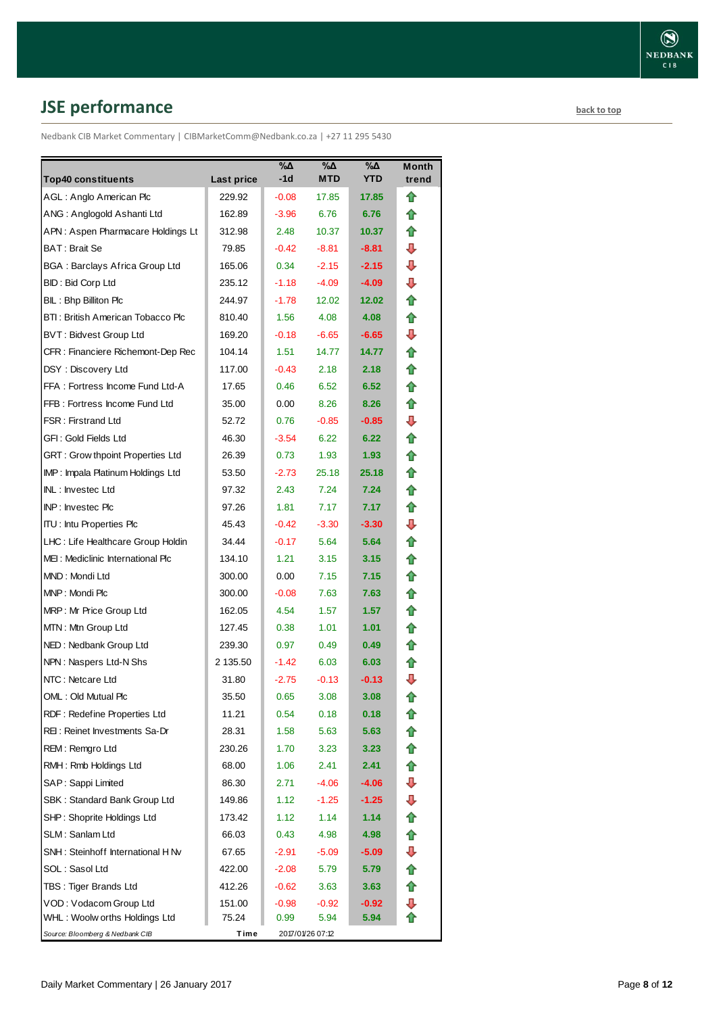# <span id="page-7-0"></span>**JSE performance [back to top](#page-0-0)**

Nedbank CIB Market Commentary | CIBMarketComm@Nedbank.co.za | +27 11 295 5430

|                                         |            | %Δ      | $\sqrt{2}$       | $\sqrt{20}$ | <b>Month</b> |
|-----------------------------------------|------------|---------|------------------|-------------|--------------|
| <b>Top40 constituents</b>               | Last price | -1d     | MTD              | <b>YTD</b>  | trend        |
| AGL: Anglo American Plc                 | 229.92     | $-0.08$ | 17.85            | 17.85       | ⇑            |
| ANG: Anglogold Ashanti Ltd              | 162.89     | $-3.96$ | 6.76             | 6.76        | fr           |
| APN: Aspen Pharmacare Holdings Lt       | 312.98     | 2.48    | 10.37            | 10.37       | ⇑            |
| BAT : Brait Se                          | 79.85      | $-0.42$ | $-8.81$          | $-8.81$     | ⊕            |
| BGA : Barclays Africa Group Ltd         | 165.06     | 0.34    | $-2.15$          | $-2.15$     | ⊕            |
| BID : Bid Corp Ltd                      | 235.12     | $-1.18$ | $-4.09$          | $-4.09$     | ⊕            |
| BIL: Bhp Billiton Plc                   | 244.97     | $-1.78$ | 12.02            | 12.02       |              |
| BTI: British American Tobacco Plc       | 810.40     | 1.56    | 4.08             | 4.08        | ⇑            |
| <b>BVT: Bidvest Group Ltd</b>           | 169.20     | $-0.18$ | $-6.65$          | $-6.65$     | ⊕            |
| CFR : Financiere Richemont-Dep Rec      | 104.14     | 1.51    | 14.77            | 14.77       | ⇑            |
| DSY: Discovery Ltd                      | 117.00     | $-0.43$ | 2.18             | 2.18        | ⋒            |
| FFA: Fortress Income Fund Ltd-A         | 17.65      | 0.46    | 6.52             | 6.52        |              |
| FFB: Fortress Income Fund Ltd           | 35.00      | 0.00    | 8.26             | 8.26        | ⇑            |
| <b>FSR: Firstrand Ltd</b>               | 52.72      | 0.76    | $-0.85$          | $-0.85$     | ⊕            |
| GFI : Gold Fields Ltd                   | 46.30      | $-3.54$ | 6.22             | 6.22        | ⇑            |
| <b>GRT: Grow thpoint Properties Ltd</b> | 26.39      | 0.73    | 1.93             | 1.93        | ⇑            |
| IMP: Impala Platinum Holdings Ltd       | 53.50      | $-2.73$ | 25.18            | 25.18       | fr           |
| INL: Investec Ltd                       | 97.32      | 2.43    | 7.24             | 7.24        | ⇑            |
| <b>INP: Investec Plc</b>                | 97.26      | 1.81    | 7.17             | 7.17        | ⇑            |
| <b>ITU: Intu Properties Plc</b>         | 45.43      | $-0.42$ | $-3.30$          | $-3.30$     | ⇩            |
| LHC : Life Healthcare Group Holdin      | 34.44      | $-0.17$ | 5.64             | 5.64        | ⋒            |
| MEI: Mediclinic International Plc       | 134.10     | 1.21    | 3.15             | 3.15        | n            |
| MND : Mondi Ltd                         | 300.00     | 0.00    | 7.15             | 7.15        | ⇑            |
| MNP: Mondi Plc                          | 300.00     | $-0.08$ | 7.63             | 7.63        | ⇑            |
| MRP: Mr Price Group Ltd                 | 162.05     | 4.54    | 1.57             | 1.57        | ⇑            |
| MTN: Mtn Group Ltd                      | 127.45     | 0.38    | 1.01             | 1.01        | ⇑            |
| NED: Nedbank Group Ltd                  | 239.30     | 0.97    | 0.49             | 0.49        | n            |
| NPN: Naspers Ltd-N Shs                  | 2 135.50   | $-1.42$ | 6.03             | 6.03        | T            |
| NTC: Netcare Ltd                        | 31.80      | $-2.75$ | $-0.13$          | $-0.13$     | ⇩            |
| OML: Old Mutual Plc                     | 35.50      | 0.65    | 3.08             | 3.08        | T            |
| RDF: Redefine Properties Ltd            | 11.21      | 0.54    | 0.18             | 0.18        |              |
| REI: Reinet Investments Sa-Dr           | 28.31      | 1.58    | 5.63             | 5.63        | ⇮            |
| REM: Remgro Ltd                         | 230.26     | 1.70    | 3.23             | 3.23        | ⇑            |
| RMH: Rmb Holdings Ltd                   | 68.00      | 1.06    | 2.41             | 2.41        | ⇑            |
| SAP: Sappi Limited                      | 86.30      | 2.71    | $-4.06$          | $-4.06$     | ⇩            |
| SBK : Standard Bank Group Ltd           | 149.86     | 1.12    | $-1.25$          | $-1.25$     | ⇩            |
| SHP: Shoprite Holdings Ltd              | 173.42     | 1.12    | 1.14             | 1.14        | ⇑            |
| SLM : Sanlam Ltd                        | 66.03      | 0.43    | 4.98             | 4.98        | 合            |
| SNH: Steinhoff International H Nv       | 67.65      | $-2.91$ | $-5.09$          | -5.09       | ⇩            |
| SOL: Sasol Ltd                          | 422.00     | $-2.08$ | 5.79             | 5.79        | ⇑            |
| TBS: Tiger Brands Ltd                   | 412.26     | $-0.62$ | 3.63             | 3.63        | ⇑            |
| VOD : Vodacom Group Ltd                 | 151.00     | $-0.98$ | $-0.92$          | -0.92       | ⇩            |
| WHL: Woolw orths Holdings Ltd           | 75.24      | 0.99    | 5.94             | 5.94        |              |
| Source: Bloomberg & Nedbank CIB         | Time       |         | 2017/01/26 07:12 |             |              |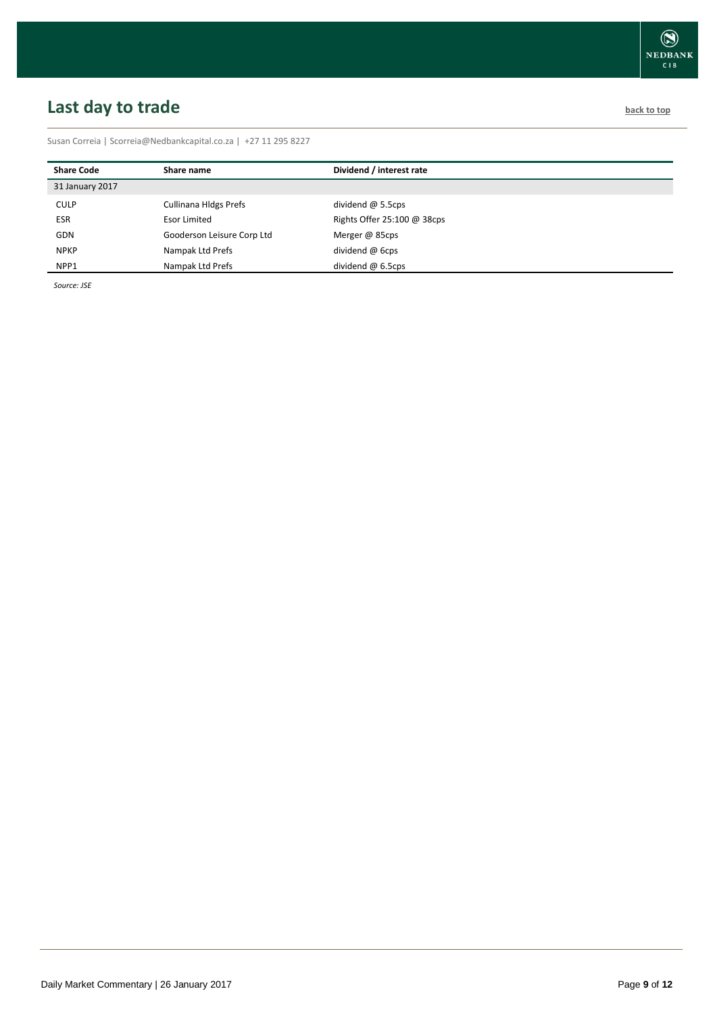# <span id="page-8-0"></span>**Last day to trade back to the contract of the contract of the contract of the contract of the contract of the contract of the contract of the contract of the contract of the contract of the contract of the contract of t**

Susan Correia [| Scorreia@Nedbankcapital.co.za](mailto:Scorreia@Nedbankcapital.co.za) | +27 11 295 8227

| <b>Share Code</b> | Share name                   | Dividend / interest rate    |  |
|-------------------|------------------------------|-----------------------------|--|
| 31 January 2017   |                              |                             |  |
| <b>CULP</b>       | <b>Cullinana Hldgs Prefs</b> | dividend $\omega$ 5.5cps    |  |
| <b>ESR</b>        | Esor Limited                 | Rights Offer 25:100 @ 38cps |  |
| <b>GDN</b>        | Gooderson Leisure Corp Ltd   | Merger @ 85cps              |  |
| <b>NPKP</b>       | Nampak Ltd Prefs             | dividend @ 6cps             |  |
| NPP1              | Nampak Ltd Prefs             | dividend $@$ 6.5cps         |  |

*Source: JSE*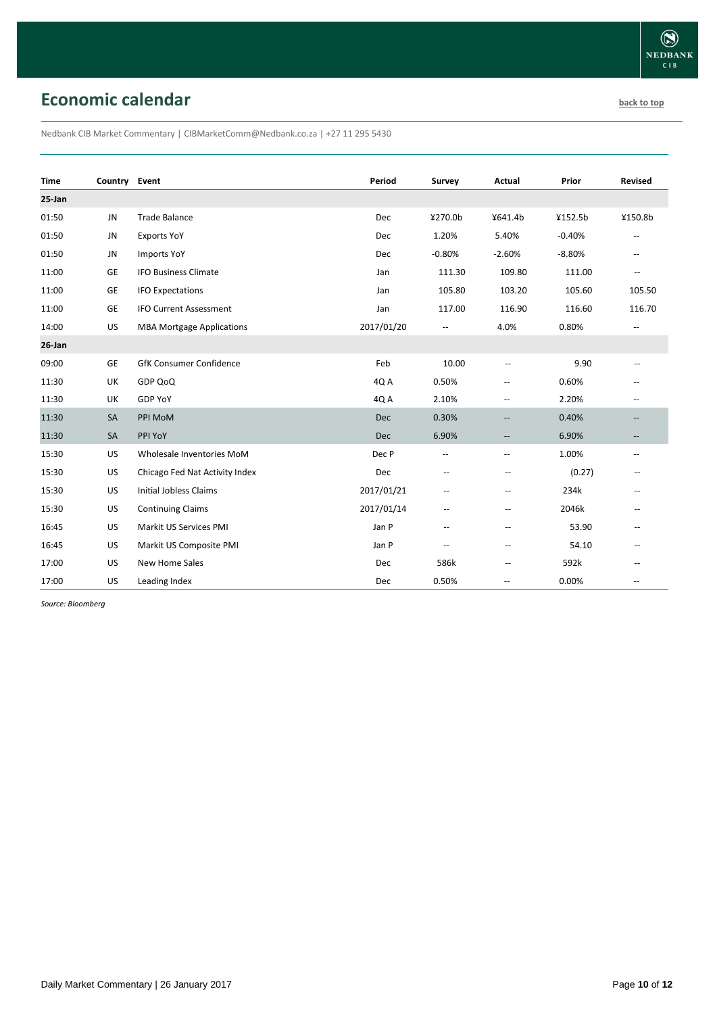## **Economic calendar [back to top](#page-0-0) back to top**

Nedbank CIB Market Commentary | CIBMarketComm@Nedbank.co.za | +27 11 295 5430

| <b>Time</b> | Country Event |                                  | Period     | Survey                   | Actual                   | Prior    | <b>Revised</b>                                      |
|-------------|---------------|----------------------------------|------------|--------------------------|--------------------------|----------|-----------------------------------------------------|
| 25-Jan      |               |                                  |            |                          |                          |          |                                                     |
| 01:50       | <b>JN</b>     | <b>Trade Balance</b>             | Dec        | ¥270.0b                  | ¥641.4b                  | ¥152.5b  | ¥150.8b                                             |
| 01:50       | JN            | <b>Exports YoY</b>               | Dec        | 1.20%                    | 5.40%                    | $-0.40%$ | $\overline{\phantom{a}}$                            |
| 01:50       | JN            | <b>Imports YoY</b>               | <b>Dec</b> | $-0.80%$                 | $-2.60%$                 | $-8.80%$ | $\overline{\phantom{a}}$                            |
| 11:00       | <b>GE</b>     | <b>IFO Business Climate</b>      | Jan        | 111.30                   | 109.80                   | 111.00   | $\overline{\phantom{a}}$                            |
| 11:00       | GE            | <b>IFO Expectations</b>          | Jan        | 105.80                   | 103.20                   | 105.60   | 105.50                                              |
| 11:00       | GE            | <b>IFO Current Assessment</b>    | Jan        | 117.00                   | 116.90                   | 116.60   | 116.70                                              |
| 14:00       | US            | <b>MBA Mortgage Applications</b> | 2017/01/20 | --                       | 4.0%                     | 0.80%    | $\mathbf{u}$                                        |
| $26$ -Jan   |               |                                  |            |                          |                          |          |                                                     |
| 09:00       | <b>GE</b>     | <b>GfK Consumer Confidence</b>   | Feb        | 10.00                    | $\overline{\phantom{a}}$ | 9.90     | $-$                                                 |
| 11:30       | UK            | GDP QoQ                          | 4Q A       | 0.50%                    | $\overline{\phantom{a}}$ | 0.60%    | $-$                                                 |
| 11:30       | UK            | <b>GDP YoY</b>                   | 4QA        | 2.10%                    | $\overline{\phantom{a}}$ | 2.20%    | $\overline{\phantom{a}}$                            |
| 11:30       | SA            | PPI MoM                          | Dec        | 0.30%                    | $\overline{\phantom{a}}$ | 0.40%    | $-\hbox{--}$                                        |
| 11:30       | SA            | PPI YoY                          | <b>Dec</b> | 6.90%                    | --                       | 6.90%    | $-\hbox{--}$                                        |
| 15:30       | US            | Wholesale Inventories MoM        | Dec P      | $\hspace{0.05cm} -$      | $\overline{\phantom{a}}$ | 1.00%    | $\hspace{0.05cm} -\hspace{0.05cm} -\hspace{0.05cm}$ |
| 15:30       | <b>US</b>     | Chicago Fed Nat Activity Index   | Dec        | --                       | $\overline{\phantom{a}}$ | (0.27)   |                                                     |
| 15:30       | US            | <b>Initial Jobless Claims</b>    | 2017/01/21 | --                       | $\overline{\phantom{a}}$ | 234k     |                                                     |
| 15:30       | US            | <b>Continuing Claims</b>         | 2017/01/14 | $\overline{\phantom{a}}$ | --                       | 2046k    | $-$                                                 |
| 16:45       | US            | Markit US Services PMI           | Jan P      | $\overline{\phantom{a}}$ | $\overline{\phantom{a}}$ | 53.90    | --                                                  |
| 16:45       | US            | Markit US Composite PMI          | Jan P      | --                       | --                       | 54.10    |                                                     |
| 17:00       | <b>US</b>     | New Home Sales                   | Dec        | 586k                     | --                       | 592k     |                                                     |
| 17:00       | US            | Leading Index                    | Dec        | 0.50%                    | $-$                      | 0.00%    | --                                                  |

*Source: Bloomberg*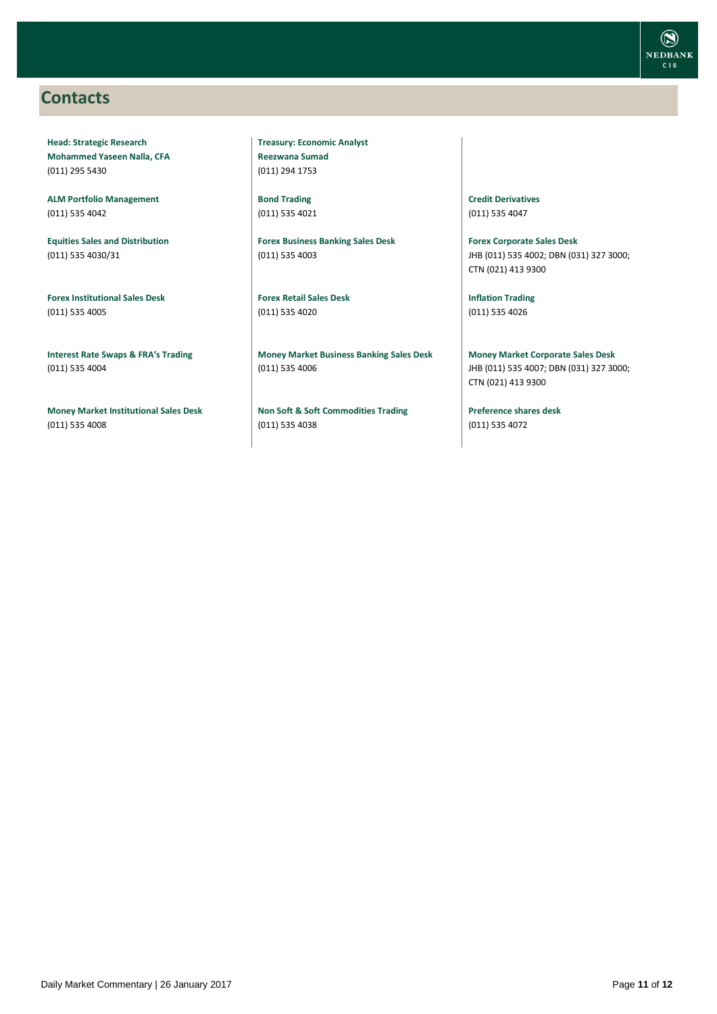### <span id="page-10-0"></span>**Contacts**

**Head: Strategic Research Mohammed Yaseen Nalla, CFA** (011) 295 5430

**ALM Portfolio Management** (011) 535 4042

**Equities Sales and Distribution** (011) 535 4030/31

**Forex Institutional Sales Desk** (011) 535 4005

**Interest Rate Swaps & FRA's Trading** (011) 535 4004

**Money Market Institutional Sales Desk** (011) 535 4008

**Treasury: Economic Analyst Reezwana Sumad** (011) 294 1753

**Bond Trading** (011) 535 4021

**Forex Business Banking Sales Desk** (011) 535 4003

**Forex Retail Sales Desk** (011) 535 4020

**Money Market Business Banking Sales Desk** (011) 535 4006

**Non Soft & Soft Commodities Trading** (011) 535 4038

**Credit Derivatives**  (011) 535 4047

**Forex Corporate Sales Desk** JHB (011) 535 4002; DBN (031) 327 3000; CTN (021) 413 9300

**Inflation Trading** (011) 535 4026

**Money Market Corporate Sales Desk** JHB (011) 535 4007; DBN (031) 327 3000; CTN (021) 413 9300

**Preference shares desk** (011) 535 4072